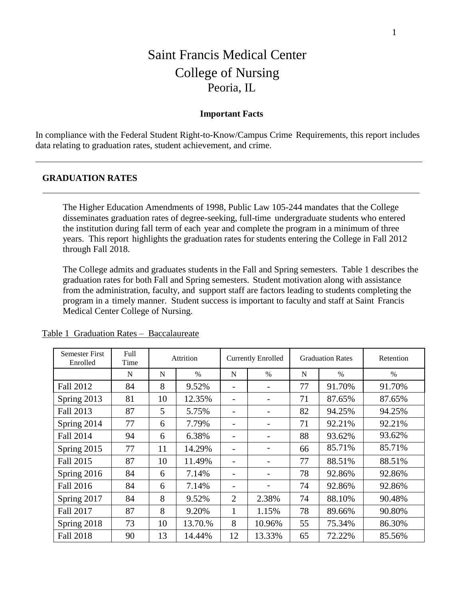# Saint Francis Medical Center College of Nursing Peoria, IL

### **Important Facts**

In compliance with the Federal Student Right-to-Know/Campus Crime Requirements, this report includes data relating to graduation rates, student achievement, and crime.

### **GRADUATION RATES**

The Higher Education Amendments of 1998, Public Law 105-244 mandates that the College disseminates graduation rates of degree-seeking, full-time undergraduate students who entered the institution during fall term of each year and complete the program in a minimum of three years. This report highlights the graduation rates for students entering the College in Fall 2012 through Fall 2018.

The College admits and graduates students in the Fall and Spring semesters. Table 1 describes the graduation rates for both Fall and Spring semesters. Student motivation along with assistance from the administration, faculty, and support staff are factors leading to students completing the program in a timely manner. Student success is important to faculty and staff at Saint Francis Medical Center College of Nursing.

| <b>Semester First</b><br>Enrolled | Full<br>Time | Attrition |         |                 | <b>Currently Enrolled</b> |    | <b>Graduation Rates</b> | Retention |  |
|-----------------------------------|--------------|-----------|---------|-----------------|---------------------------|----|-------------------------|-----------|--|
|                                   | N            | N         | $\%$    | N               | $\frac{0}{0}$             | N  | $\%$                    | $\%$      |  |
| <b>Fall 2012</b>                  | 84           | 8         | 9.52%   | -               |                           | 77 | 91.70%                  | 91.70%    |  |
| Spring 2013                       | 81           | 10        | 12.35%  |                 |                           | 71 | 87.65%                  | 87.65%    |  |
| Fall 2013                         | 87           | 5         | 5.75%   | $\qquad \qquad$ |                           | 82 | 94.25%                  | 94.25%    |  |
| Spring 2014                       | 77           | 6         | 7.79%   | -               |                           | 71 | 92.21%                  | 92.21%    |  |
| Fall 2014                         | 94           | 6         | 6.38%   | -               |                           | 88 | 93.62%                  | 93.62%    |  |
| Spring 2015                       | 77           | 11        | 14.29%  |                 |                           | 66 | 85.71%                  | 85.71%    |  |
| Fall 2015                         | 87           | 10        | 11.49%  |                 |                           | 77 | 88.51%                  | 88.51%    |  |
| Spring 2016                       | 84           | 6         | 7.14%   | $\qquad \qquad$ |                           | 78 | 92.86%                  | 92.86%    |  |
| Fall 2016                         | 84           | 6         | 7.14%   |                 |                           | 74 | 92.86%                  | 92.86%    |  |
| Spring 2017                       | 84           | 8         | 9.52%   | $\overline{2}$  | 2.38%                     | 74 | 88.10%                  | 90.48%    |  |
| <b>Fall 2017</b>                  | 87           | 8         | 9.20%   | 1               | 1.15%                     | 78 | 89.66%                  | 90.80%    |  |
| Spring 2018                       | 73           | 10        | 13.70.% | 8               | 10.96%                    | 55 | 75.34%                  | 86.30%    |  |
| <b>Fall 2018</b>                  | 90           | 13        | 14.44%  | 12              | 13.33%                    | 65 | 72.22%                  | 85.56%    |  |

Table 1 Graduation Rates – Baccalaureate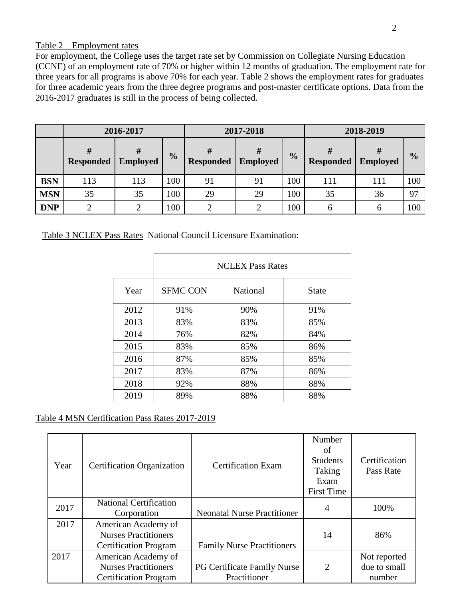## Table 2 Employment rates

For employment, the College uses the target rate set by Commission on Collegiate Nursing Education (CCNE) of an employment rate of 70% or higher within 12 months of graduation. The employment rate for three years for all programs is above 70% for each year. Table 2 shows the employment rates for graduates for three academic years from the three degree programs and post-master certificate options. Data from the 2016-2017 graduates is still in the process of being collected.

|            |                       | 2016-2017            |               | 2017-2018        |                 | 2018-2019     |                  |                 |               |
|------------|-----------------------|----------------------|---------------|------------------|-----------------|---------------|------------------|-----------------|---------------|
|            | #<br><b>Responded</b> | #<br><b>Employed</b> | $\frac{0}{0}$ | <b>Responded</b> | <b>Employed</b> | $\frac{0}{0}$ | <b>Responded</b> | <b>Employed</b> | $\frac{0}{0}$ |
| <b>BSN</b> | 113                   | 113                  | 100           | 91               | 91              | 100           | 111              | 111             | 100           |
| <b>MSN</b> | 35                    | 35                   | 100           | 29               | 29              | 100           | 35               | 36              | 97            |
| <b>DNP</b> |                       |                      | 100           |                  |                 | 100           | h                | b               | 100           |

Table 3 NCLEX Pass Rates National Council Licensure Examination:

|      |                 | <b>NCLEX Pass Rates</b> |              |  |  |  |  |  |  |  |
|------|-----------------|-------------------------|--------------|--|--|--|--|--|--|--|
| Year | <b>SFMC CON</b> | <b>National</b>         | <b>State</b> |  |  |  |  |  |  |  |
| 2012 | 91%             | 90%                     | 91%          |  |  |  |  |  |  |  |
| 2013 | 83%             | 83%                     | 85%          |  |  |  |  |  |  |  |
| 2014 | 76%             | 82%                     | 84%          |  |  |  |  |  |  |  |
| 2015 | 83%             | 85%                     | 86%          |  |  |  |  |  |  |  |
| 2016 | 87%             | 85%                     | 85%          |  |  |  |  |  |  |  |
| 2017 | 83%             | 87%                     | 86%          |  |  |  |  |  |  |  |
| 2018 | 92%             | 88%                     | 88%          |  |  |  |  |  |  |  |
| 2019 | 89%             | 88%                     | 88%          |  |  |  |  |  |  |  |

Table 4 MSN Certification Pass Rates 2017-2019

| Year | <b>Certification Organization</b>                                                  | <b>Certification Exam</b>                          | Number<br>of<br><b>Students</b><br>Taking<br>Exam<br><b>First Time</b> | Certification<br>Pass Rate             |
|------|------------------------------------------------------------------------------------|----------------------------------------------------|------------------------------------------------------------------------|----------------------------------------|
| 2017 | <b>National Certification</b><br>Corporation                                       | <b>Neonatal Nurse Practitioner</b>                 | 4                                                                      | 100%                                   |
| 2017 | American Academy of<br><b>Nurses Practitioners</b><br><b>Certification Program</b> | <b>Family Nurse Practitioners</b>                  | 14                                                                     | 86%                                    |
| 2017 | American Academy of<br><b>Nurses Practitioners</b><br><b>Certification Program</b> | <b>PG Certificate Family Nurse</b><br>Practitioner | $\overline{2}$                                                         | Not reported<br>due to small<br>number |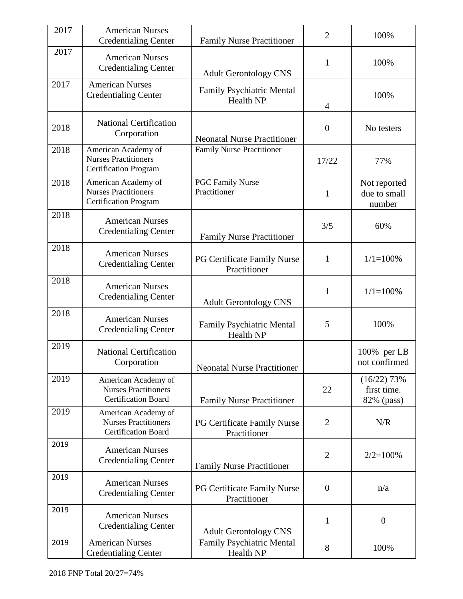| 2017 | <b>American Nurses</b><br><b>Credentialing Center</b>                              | <b>Family Nurse Practitioner</b>                     | $\overline{2}$   | 100%                                       |
|------|------------------------------------------------------------------------------------|------------------------------------------------------|------------------|--------------------------------------------|
| 2017 | <b>American Nurses</b><br><b>Credentialing Center</b>                              | <b>Adult Gerontology CNS</b>                         | $\mathbf{1}$     | 100%                                       |
| 2017 | American Nurses<br><b>Credentialing Center</b>                                     | <b>Family Psychiatric Mental</b><br><b>Health NP</b> | $\overline{4}$   | 100%                                       |
| 2018 | <b>National Certification</b><br>Corporation                                       | <b>Neonatal Nurse Practitioner</b>                   | $\boldsymbol{0}$ | No testers                                 |
| 2018 | American Academy of<br><b>Nurses Practitioners</b><br><b>Certification Program</b> | <b>Family Nurse Practitioner</b>                     | 17/22            | 77%                                        |
| 2018 | American Academy of<br><b>Nurses Practitioners</b><br><b>Certification Program</b> | <b>PGC Family Nurse</b><br>Practitioner              | $\mathbf{1}$     | Not reported<br>due to small<br>number     |
| 2018 | <b>American Nurses</b><br><b>Credentialing Center</b>                              | <b>Family Nurse Practitioner</b>                     | 3/5              | 60%                                        |
| 2018 | <b>American Nurses</b><br><b>Credentialing Center</b>                              | PG Certificate Family Nurse<br>Practitioner          | $\mathbf{1}$     | $1/1 = 100\%$                              |
| 2018 | <b>American Nurses</b><br><b>Credentialing Center</b>                              | <b>Adult Gerontology CNS</b>                         | $\mathbf{1}$     | $1/1 = 100\%$                              |
| 2018 | <b>American Nurses</b><br><b>Credentialing Center</b>                              | <b>Family Psychiatric Mental</b><br><b>Health NP</b> | 5                | 100%                                       |
| 2019 | <b>National Certification</b><br>Corporation                                       | <b>Neonatal Nurse Practitioner</b>                   |                  | 100% per LB<br>not confirmed               |
| 2019 | American Academy of<br><b>Nurses Practitioners</b><br>Certification Board          | <b>Family Nurse Practitioner</b>                     | 22               | $(16/22)$ 73%<br>first time.<br>82% (pass) |
| 2019 | American Academy of<br><b>Nurses Practitioners</b><br>Certification Board          | PG Certificate Family Nurse<br>Practitioner          | $\overline{2}$   | N/R                                        |
| 2019 | <b>American Nurses</b><br><b>Credentialing Center</b>                              | <b>Family Nurse Practitioner</b>                     | $\overline{2}$   | $2/2=100%$                                 |
| 2019 | <b>American Nurses</b><br><b>Credentialing Center</b>                              | PG Certificate Family Nurse<br>Practitioner          | $\overline{0}$   | n/a                                        |
| 2019 | <b>American Nurses</b><br><b>Credentialing Center</b>                              | <b>Adult Gerontology CNS</b>                         | 1                | $\boldsymbol{0}$                           |
| 2019 | <b>American Nurses</b><br><b>Credentialing Center</b>                              | Family Psychiatric Mental<br>Health NP               | 8                | 100%                                       |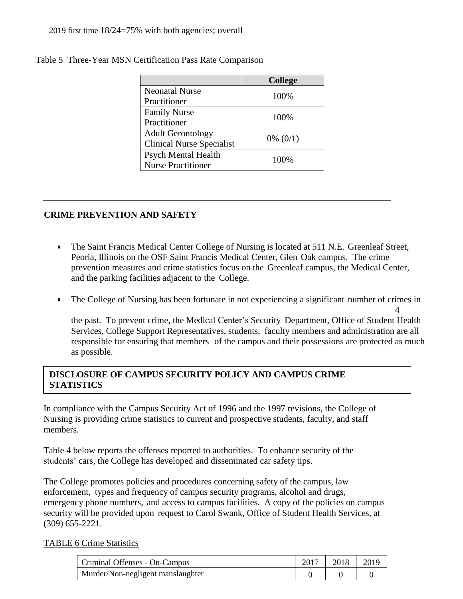|                                  | <b>College</b> |
|----------------------------------|----------------|
| <b>Neonatal Nurse</b>            | 100%           |
| Practitioner                     |                |
| <b>Family Nurse</b>              | 100%           |
| Practitioner                     |                |
| <b>Adult Gerontology</b>         |                |
| <b>Clinical Nurse Specialist</b> | $0\%$ (0/1)    |
| <b>Psych Mental Health</b>       | 100%           |
| <b>Nurse Practitioner</b>        |                |

# Table 5 Three-Year MSN Certification Pass Rate Comparison

# **CRIME PREVENTION AND SAFETY**

- The Saint Francis Medical Center College of Nursing is located at 511 N.E. Greenleaf Street, Peoria, Illinois on the OSF Saint Francis Medical Center, Glen Oak campus. The crime prevention measures and crime statistics focus on the Greenleaf campus, the Medical Center, and the parking facilities adjacent to the College.
- The College of Nursing has been fortunate in not experiencing a significant number of crimes in

4 the past. To prevent crime, the Medical Center's Security Department, Office of Student Health Services, College Support Representatives, students, faculty members and administration are all responsible for ensuring that members of the campus and their possessions are protected as much as possible.

# **DISCLOSURE OF CAMPUS SECURITY POLICY AND CAMPUS CRIME STATISTICS**

In compliance with the Campus Security Act of 1996 and the 1997 revisions, the College of Nursing is providing crime statistics to current and prospective students, faculty, and staff members.

Table 4 below reports the offenses reported to authorities. To enhance security of the students' cars, the College has developed and disseminated car safety tips.

The College promotes policies and procedures concerning safety of the campus, law enforcement, types and frequency of campus security programs, alcohol and drugs, emergency phone numbers, and access to campus facilities. A copy of the policies on campus security will be provided upon request to Carol Swank, Office of Student Health Services, at (309) 655-2221.

# TABLE 6 Crime Statistics

| Criminal Offenses - On-Campus     | 2017   2018   2019 |  |
|-----------------------------------|--------------------|--|
| Murder/Non-negligent manslaughter |                    |  |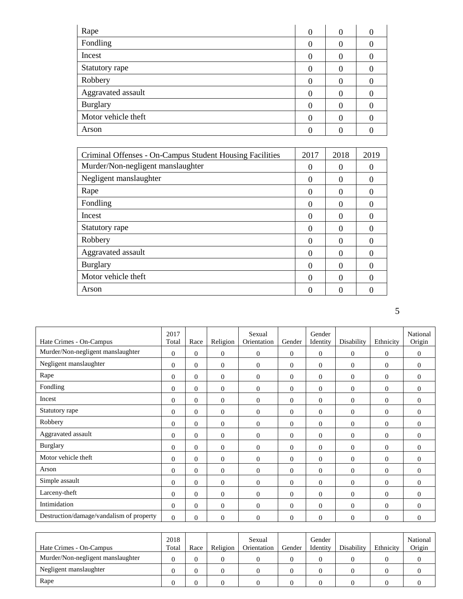| Rape                | 0 | 0 |  |
|---------------------|---|---|--|
| Fondling            | 0 |   |  |
| Incest              |   |   |  |
| Statutory rape      | 0 |   |  |
| Robbery             | 0 |   |  |
| Aggravated assault  |   |   |  |
| <b>Burglary</b>     |   |   |  |
| Motor vehicle theft |   |   |  |
| Arson               |   |   |  |

| Criminal Offenses - On-Campus Student Housing Facilities | 2017     | 2018 | 2019 |
|----------------------------------------------------------|----------|------|------|
| Murder/Non-negligent manslaughter                        | 0        | 0    |      |
| Negligent manslaughter                                   | $\Omega$ | 0    | 0    |
| Rape                                                     | $\Omega$ | 0    | O    |
| Fondling                                                 | 0        | 0    |      |
| Incest                                                   | $\Omega$ | 0    |      |
| Statutory rape                                           | $\Omega$ | 0    |      |
| Robbery                                                  | 0        | 0    |      |
| Aggravated assault                                       | 0        | 0    |      |
| <b>Burglary</b>                                          | $\Omega$ | 0    |      |
| Motor vehicle theft                                      | $\Omega$ | 0    |      |
| Arson                                                    |          | 0    |      |

5

| Hate Crimes - On-Campus                  | 2017<br>Total  | Race           | Religion       | Sexual<br>Orientation | Gender       | Gender<br>Identity | Disability     | Ethnicity      | National<br>Origin |
|------------------------------------------|----------------|----------------|----------------|-----------------------|--------------|--------------------|----------------|----------------|--------------------|
| Murder/Non-negligent manslaughter        | $\overline{0}$ | $\overline{0}$ | $\overline{0}$ | $\mathbf{0}$          | $\mathbf{0}$ | $\theta$           | $\theta$       | $\theta$       | $\overline{0}$     |
| Negligent manslaughter                   | $\Omega$       | $\Omega$       | $\theta$       | $\Omega$              | $\Omega$     | $\Omega$           | $\Omega$       | $\Omega$       | $\Omega$           |
| Rape                                     | $\Omega$       | $\Omega$       | $\Omega$       | $\Omega$              | $\Omega$     | $\Omega$           | $\theta$       | $\Omega$       | $\Omega$           |
| Fondling                                 | $\overline{0}$ | 0              | $\overline{0}$ | $\mathbf{0}$          | $\mathbf{0}$ | $\overline{0}$     | $\overline{0}$ | $\theta$       | $\theta$           |
| Incest                                   | $\overline{0}$ | $\overline{0}$ | $\overline{0}$ | $\theta$              | $\mathbf{0}$ | $\overline{0}$     | $\mathbf{0}$   | $\theta$       | $\mathbf{0}$       |
| Statutory rape                           | $\overline{0}$ | $\Omega$       | $\theta$       | $\mathbf{0}$          | $\Omega$     | $\mathbf{0}$       | $\overline{0}$ | $\Omega$       | $\Omega$           |
| Robbery                                  | $\Omega$       | $\Omega$       | $\Omega$       | $\Omega$              | $\Omega$     | $\Omega$           | $\Omega$       | $\Omega$       | $\Omega$           |
| Aggravated assault                       | $\Omega$       | $\Omega$       | $\Omega$       | $\Omega$              | $\Omega$     | $\Omega$           | $\overline{0}$ | $\theta$       | $\Omega$           |
| <b>Burglary</b>                          | $\overline{0}$ | 0              | $\overline{0}$ | $\theta$              | $\Omega$     | $\overline{0}$     | $\theta$       | $\theta$       | $\theta$           |
| Motor vehicle theft                      | $\overline{0}$ | $\overline{0}$ | $\overline{0}$ | $\theta$              | $\mathbf{0}$ | $\mathbf{0}$       | $\theta$       | $\theta$       | $\theta$           |
| Arson                                    | $\overline{0}$ | $\overline{0}$ | $\theta$       | $\theta$              | $\mathbf{0}$ | $\overline{0}$     | $\theta$       | $\Omega$       | $\Omega$           |
| Simple assault                           | $\Omega$       | $\Omega$       | $\Omega$       | $\Omega$              | $\Omega$     | $\Omega$           | $\Omega$       | $\Omega$       | $\Omega$           |
| Larceny-theft                            | $\Omega$       | $\overline{0}$ | $\mathbf{0}$   | $\mathbf{0}$          | $\Omega$     | $\overline{0}$     | $\overline{0}$ | $\overline{0}$ | $\theta$           |
| Intimidation                             | $\Omega$       | 0              | $\overline{0}$ | $\theta$              | $\theta$     | $\overline{0}$     | $\theta$       | $\overline{0}$ | $\theta$           |
| Destruction/damage/vandalism of property | $\theta$       | $\Omega$       | $\Omega$       | $\Omega$              | $\Omega$     | $\overline{0}$     | $\overline{0}$ | $\theta$       | $\theta$           |

| Hate Crimes - On-Campus           | 2018<br>Total | Race | Religion | Sexual<br>Orientation | Gender | Gender<br>Identity | Disability | Ethnicity | National<br>Origin |
|-----------------------------------|---------------|------|----------|-----------------------|--------|--------------------|------------|-----------|--------------------|
| Murder/Non-negligent manslaughter |               |      |          |                       |        |                    |            |           |                    |
| Negligent manslaughter            |               |      |          |                       |        |                    |            |           |                    |
| Rape                              |               |      |          |                       |        |                    |            |           |                    |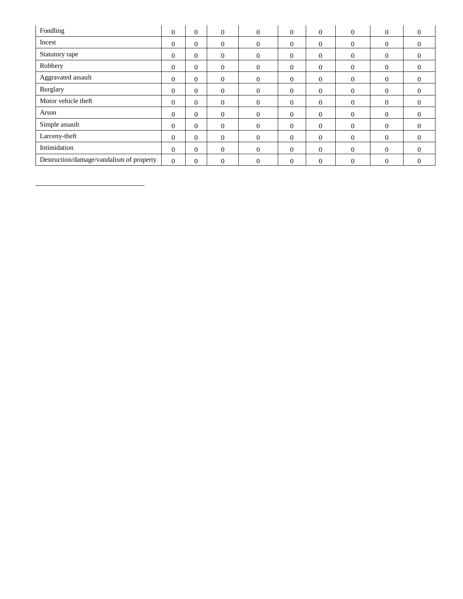| Fondling                                 | $\Omega$       | 0              | $\Omega$       | $\mathbf{0}$ | $\mathbf{0}$ | $\overline{0}$ | $\Omega$ | $\mathbf{0}$     | $\overline{0}$ |
|------------------------------------------|----------------|----------------|----------------|--------------|--------------|----------------|----------|------------------|----------------|
| Incest                                   | $\Omega$       | $\theta$       | $\Omega$       | $\theta$     | $\Omega$     | $\theta$       | $\Omega$ | $\overline{0}$   | $\theta$       |
| Statutory rape                           | $\Omega$       | 0              | $\Omega$       | $\mathbf{0}$ | $\mathbf{0}$ | $\overline{0}$ | $\Omega$ | $\mathbf{0}$     | $\overline{0}$ |
| Robbery                                  | $\Omega$       | $\overline{0}$ | $\Omega$       | $\mathbf{0}$ | $\mathbf{0}$ | $\overline{0}$ | $\theta$ | $\mathbf{0}$     | $\overline{0}$ |
| Aggravated assault                       | $\Omega$       | $\overline{0}$ | $\overline{0}$ | $\mathbf{0}$ | $\mathbf{0}$ | $\overline{0}$ | $\theta$ | $\theta$         | $\overline{0}$ |
| <b>Burglary</b>                          | $\overline{0}$ | 0              | $\overline{0}$ | $\mathbf{0}$ | $\mathbf{0}$ | $\overline{0}$ | $\theta$ | $\boldsymbol{0}$ | $\mathbf{0}$   |
| Motor vehicle theft                      | $\theta$       | $\overline{0}$ | $\Omega$       | $\theta$     | $\mathbf{0}$ | $\overline{0}$ | $\theta$ | $\overline{0}$   | $\overline{0}$ |
| Arson                                    | $\theta$       | $\overline{0}$ | $\Omega$       | $\Omega$     | $\mathbf{0}$ | $\overline{0}$ | $\Omega$ | $\overline{0}$   | $\overline{0}$ |
| Simple assault                           | $\theta$       | $\overline{0}$ | $\Omega$       | $\Omega$     | $\mathbf{0}$ | $\overline{0}$ | $\theta$ | $\overline{0}$   | $\overline{0}$ |
| Larceny-theft                            | $\Omega$       | $\Omega$       | $\Omega$       | $\Omega$     | $\mathbf{0}$ | $\overline{0}$ | $\Omega$ | $\overline{0}$   | $\theta$       |
| Intimidation                             | $\Omega$       | $\Omega$       | $\overline{0}$ | $\theta$     | $\theta$     | $\overline{0}$ | $\theta$ | $\theta$         | $\mathbf{0}$   |
| Destruction/damage/vandalism of property | $\theta$       | $\overline{0}$ | $\Omega$       | $\Omega$     | $\Omega$     | $\Omega$       | $\Omega$ | $\mathbf{0}$     | $\overline{0}$ |

 $\overline{\phantom{a}}$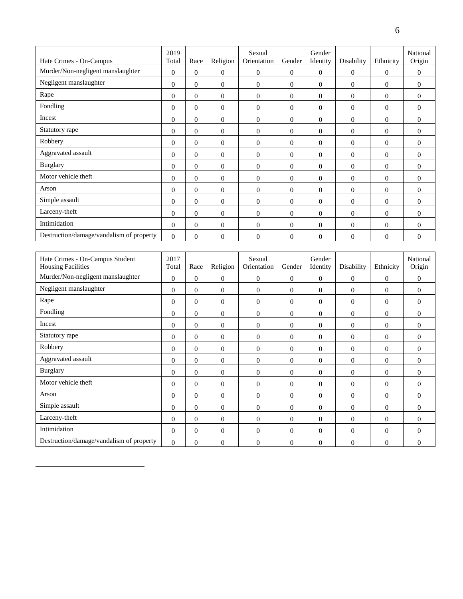|                                                              | 2019           |                |                | Sexual                |                  | Gender             |                  |                  | National           |
|--------------------------------------------------------------|----------------|----------------|----------------|-----------------------|------------------|--------------------|------------------|------------------|--------------------|
| Hate Crimes - On-Campus                                      | Total          | Race           | Religion       | Orientation           | Gender           | Identity           | Disability       | Ethnicity        | Origin             |
| Murder/Non-negligent manslaughter                            | $\mathbf{0}$   | $\Omega$       | $\overline{0}$ | $\boldsymbol{0}$      | $\boldsymbol{0}$ | $\mathbf{0}$       | $\boldsymbol{0}$ | $\boldsymbol{0}$ | $\boldsymbol{0}$   |
| Negligent manslaughter                                       | $\Omega$       | $\overline{0}$ | $\overline{0}$ | $\mathbf{0}$          | $\theta$         | $\mathbf{0}$       | $\overline{0}$   | $\mathbf{0}$     | $\theta$           |
| Rape                                                         | $\Omega$       | $\overline{0}$ | $\mathbf{0}$   | $\mathbf{0}$          | $\theta$         | $\mathbf{0}$       | $\mathbf{0}$     | $\theta$         | $\theta$           |
| Fondling                                                     | $\theta$       | $\overline{0}$ | $\mathbf{0}$   | $\mathbf{0}$          | $\theta$         | $\mathbf{0}$       | $\mathbf{0}$     | $\mathbf{0}$     | $\theta$           |
| Incest                                                       | $\Omega$       | $\Omega$       | $\Omega$       | $\overline{0}$        | $\theta$         | $\Omega$           | $\overline{0}$   | $\theta$         | $\overline{0}$     |
| Statutory rape                                               | $\Omega$       | $\overline{0}$ | $\mathbf{0}$   | $\mathbf{0}$          | $\theta$         | $\theta$           | $\mathbf{0}$     | $\mathbf{0}$     | $\theta$           |
| Robbery                                                      | $\Omega$       | $\Omega$       | $\mathbf{0}$   | $\theta$              | $\Omega$         | $\Omega$           | $\Omega$         | $\theta$         | $\Omega$           |
| Aggravated assault                                           | $\theta$       | $\overline{0}$ | $\mathbf{0}$   | $\mathbf{0}$          | $\theta$         | $\mathbf{0}$       | $\mathbf{0}$     | $\mathbf{0}$     | $\overline{0}$     |
| <b>Burglary</b>                                              | $\overline{0}$ | $\overline{0}$ | $\mathbf{0}$   | $\mathbf{0}$          | $\theta$         | $\mathbf{0}$       | $\mathbf{0}$     | $\mathbf{0}$     | $\theta$           |
| Motor vehicle theft                                          | $\Omega$       | $\Omega$       | $\Omega$       | $\theta$              | $\theta$         | $\Omega$           | $\Omega$         | $\theta$         | $\overline{0}$     |
| Arson                                                        | $\theta$       | $\overline{0}$ | $\mathbf{0}$   | $\mathbf{0}$          | $\theta$         | $\mathbf{0}$       | $\mathbf{0}$     | $\mathbf{0}$     | $\theta$           |
| Simple assault                                               | $\Omega$       | $\Omega$       | $\Omega$       | $\overline{0}$        | $\Omega$         | $\Omega$           | $\mathbf{0}$     | $\theta$         | $\overline{0}$     |
| Larceny-theft                                                | $\Omega$       | $\overline{0}$ | $\mathbf{0}$   | $\mathbf{0}$          | $\theta$         | $\mathbf{0}$       | $\mathbf{0}$     | $\mathbf{0}$     | $\overline{0}$     |
| Intimidation                                                 | $\Omega$       | $\overline{0}$ | $\Omega$       | $\theta$              | $\mathbf{0}$     | $\Omega$           | $\Omega$         | $\mathbf{0}$     | $\theta$           |
| Destruction/damage/vandalism of property                     | $\overline{0}$ | $\overline{0}$ | $\mathbf{0}$   | $\overline{0}$        | $\theta$         | $\mathbf{0}$       | $\mathbf{0}$     | $\overline{0}$   | $\overline{0}$     |
|                                                              |                |                |                |                       |                  |                    |                  |                  |                    |
| Hate Crimes - On-Campus Student<br><b>Housing Facilities</b> | 2017<br>Total  | Race           | Religion       | Sexual<br>Orientation | Gender           | Gender<br>Identity | Disability       | Ethnicity        | National<br>Origin |
| Murder/Non-negligent manslaughter                            | $\Omega$       | $\Omega$       | $\mathbf{0}$   | $\mathbf{0}$          | $\mathbf{0}$     | $\mathbf{0}$       | $\mathbf{0}$     | $\mathbf{0}$     | $\theta$           |
| Negligent manslaughter                                       | $\mathbf{0}$   | $\overline{0}$ | $\overline{0}$ | $\mathbf{0}$          | $\theta$         | $\mathbf{0}$       | $\mathbf{0}$     | $\mathbf{0}$     | $\theta$           |
| $\mathbf{R}$ ane                                             | $\sim$         | $\sim$         | $\sim$         | $\sim$                | $\sim$           | $\sim$             | $\sim$           | $\sim$           | $\sim$             |

| Negligent manslaughter                   | $\overline{0}$ | $\boldsymbol{0}$ | $\mathbf{0}$   | $\mathbf{0}$   | $\boldsymbol{0}$ | $\theta$       | $\mathbf{0}$     | $\overline{0}$   | $\theta$       |
|------------------------------------------|----------------|------------------|----------------|----------------|------------------|----------------|------------------|------------------|----------------|
| Rape                                     | $\overline{0}$ | $\overline{0}$   | $\mathbf{0}$   | $\mathbf{0}$   | $\mathbf{0}$     | $\overline{0}$ | $\overline{0}$   | $\overline{0}$   | $\overline{0}$ |
| Fondling                                 | $\Omega$       | $\Omega$         | $\Omega$       | $\Omega$       | $\Omega$         | $\theta$       | $\theta$         | $\theta$         | $\Omega$       |
| Incest                                   | $\theta$       | $\overline{0}$   | $\overline{0}$ | $\mathbf{0}$   | $\mathbf{0}$     | $\overline{0}$ | $\overline{0}$   | $\overline{0}$   | $\theta$       |
| Statutory rape                           | $\overline{0}$ | $\overline{0}$   | $\mathbf{0}$   | $\theta$       | $\mathbf{0}$     | $\overline{0}$ | $\overline{0}$   | $\overline{0}$   | $\overline{0}$ |
| Robbery                                  | $\theta$       | $\overline{0}$   | $\mathbf{0}$   | $\theta$       | $\mathbf{0}$     | $\overline{0}$ | $\overline{0}$   | $\overline{0}$   | $\overline{0}$ |
| Aggravated assault                       | $\Omega$       | $\overline{0}$   | $\Omega$       | $\Omega$       | $\mathbf{0}$     | $\theta$       | $\overline{0}$   | $\overline{0}$   | $\Omega$       |
| <b>Burglary</b>                          | $\theta$       | $\Omega$         | $\Omega$       | $\overline{0}$ | $\theta$         | $\theta$       | $\overline{0}$   | $\overline{0}$   | $\theta$       |
| Motor vehicle theft                      | $\theta$       | $\overline{0}$   | $\overline{0}$ | $\mathbf{0}$   | $\mathbf{0}$     | $\overline{0}$ | $\overline{0}$   | $\overline{0}$   | $\overline{0}$ |
| Arson                                    | $\overline{0}$ | $\overline{0}$   | $\overline{0}$ | $\theta$       | $\boldsymbol{0}$ | $\overline{0}$ | $\boldsymbol{0}$ | $\mathbf{0}$     | $\overline{0}$ |
| Simple assault                           | $\theta$       | $\Omega$         | $\Omega$       | $\Omega$       | $\mathbf{0}$     | $\theta$       | $\overline{0}$   | $\overline{0}$   | $\theta$       |
| Larceny-theft                            | $\theta$       | $\Omega$         | $\Omega$       | $\mathbf{0}$   | $\mathbf{0}$     | $\overline{0}$ | $\overline{0}$   | $\overline{0}$   | $\theta$       |
| Intimidation                             | $\Omega$       | $\overline{0}$   | $\overline{0}$ | $\theta$       | $\mathbf{0}$     | $\overline{0}$ | $\overline{0}$   | $\overline{0}$   | $\theta$       |
| Destruction/damage/vandalism of property | $\overline{0}$ | $\overline{0}$   | $\mathbf{0}$   | $\mathbf{0}$   | $\overline{0}$   | $\overline{0}$ | $\theta$         | $\boldsymbol{0}$ | $\theta$       |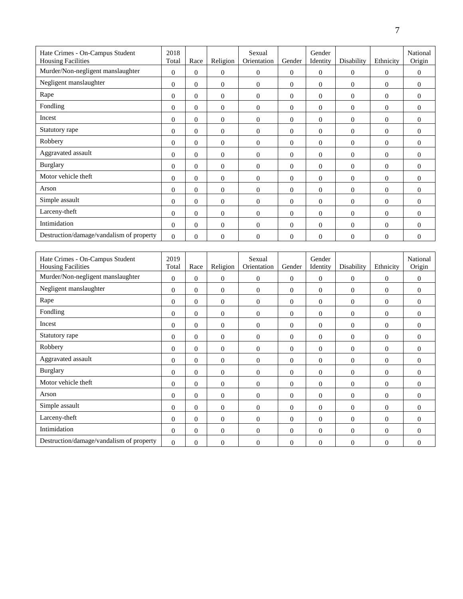| Hate Crimes - On-Campus Student<br><b>Housing Facilities</b> | 2018<br>Total  | Race           | Religion         | Sexual<br>Orientation       | Gender         | Gender<br>Identity | Disability     | Ethnicity      | National<br>Origin |
|--------------------------------------------------------------|----------------|----------------|------------------|-----------------------------|----------------|--------------------|----------------|----------------|--------------------|
| Murder/Non-negligent manslaughter                            | $\Omega$       | $\Omega$       | $\Omega$         | $\overline{0}$              | $\overline{0}$ | $\Omega$           | $\theta$       | $\Omega$       | $\theta$           |
| Negligent manslaughter                                       | $\Omega$       | $\overline{0}$ | $\overline{0}$   | $\overline{0}$              | $\overline{0}$ | $\Omega$           | $\overline{0}$ | $\Omega$       | $\theta$           |
| Rape                                                         | $\Omega$       | 0              | $\overline{0}$   | $\mathbf{0}$                | $\overline{0}$ | $\Omega$           | $\overline{0}$ | $\Omega$       | $\overline{0}$     |
| Fondling                                                     | $\overline{0}$ | $\overline{0}$ | $\boldsymbol{0}$ | $\boldsymbol{0}$            | $\overline{0}$ | $\mathbf{0}$       | $\overline{0}$ | $\overline{0}$ | $\mathbf{0}$       |
| Incest                                                       | $\overline{0}$ | $\overline{0}$ | $\overline{0}$   | $\theta$                    | $\overline{0}$ | $\overline{0}$     | $\theta$       | $\overline{0}$ | $\mathbf{0}$       |
| Statutory rape                                               | $\Omega$       | $\theta$       | $\boldsymbol{0}$ | $\mathbf{0}$                | $\overline{0}$ | $\theta$           | $\overline{0}$ | $\Omega$       | $\Omega$           |
| Robbery                                                      | $\Omega$       | $\theta$       | $\overline{0}$   | $\overline{0}$              | $\overline{0}$ | $\theta$           | $\overline{0}$ | $\Omega$       | $\theta$           |
| Aggravated assault                                           | $\Omega$       | $\overline{0}$ | $\overline{0}$   | $\overline{0}$              | $\overline{0}$ | $\theta$           | $\Omega$       | $\Omega$       | $\theta$           |
| <b>Burglary</b>                                              | $\mathbf{0}$   | $\overline{0}$ | $\overline{0}$   | $\overline{0}$              | $\overline{0}$ | $\overline{0}$     | $\overline{0}$ | $\overline{0}$ | $\theta$           |
| Motor vehicle theft                                          | $\Omega$       | $\overline{0}$ | $\overline{0}$   | $\overline{0}$              | $\overline{0}$ | $\Omega$           | $\Omega$       | $\Omega$       | $\theta$           |
| Arson                                                        | $\Omega$       | $\overline{0}$ | $\overline{0}$   | $\overline{0}$              | $\overline{0}$ | $\Omega$           | $\Omega$       | $\Omega$       | $\theta$           |
| Simple assault                                               | $\Omega$       | $\Omega$       | $\mathbf{0}$     | $\Omega$                    | $\Omega$       | $\Omega$           | $\Omega$       | $\Omega$       | $\theta$           |
| Larceny-theft                                                | $\Omega$       | $\mathbf{0}$   | $\mathbf{0}$     | $\theta$                    | $\overline{0}$ | $\mathbf{0}$       | $\overline{0}$ | $\Omega$       | $\theta$           |
| Intimidation                                                 | $\Omega$       | $\overline{0}$ | $\mathbf{0}$     | $\Omega$                    | $\overline{0}$ | $\mathbf{0}$       | $\mathbf{0}$   | $\Omega$       | $\Omega$           |
| Destruction/damage/vandalism of property                     | $\Omega$       | $\overline{0}$ | $\mathbf{0}$     | $\theta$                    | $\overline{0}$ | $\mathbf{0}$       | $\theta$       | $\overline{0}$ | $\mathbf{0}$       |
|                                                              |                |                |                  |                             |                |                    |                |                |                    |
| Hote Crimes On Compus Student                                | 2010           |                |                  | $S_{\alpha \nu \nu \alpha}$ |                | $C$ ondor          |                |                | Notional           |

| Hate Crimes - On-Campus Student          | 2019           |                |                | Sexual         |              | Gender         |              | Ethnicity      | National       |
|------------------------------------------|----------------|----------------|----------------|----------------|--------------|----------------|--------------|----------------|----------------|
| <b>Housing Facilities</b>                | Total          | Race           | Religion       | Orientation    | Gender       | Identity       | Disability   |                | Origin         |
| Murder/Non-negligent manslaughter        | $\mathbf{0}$   | $\overline{0}$ | $\theta$       | $\overline{0}$ | $\mathbf{0}$ | $\overline{0}$ | $\mathbf{0}$ | $\overline{0}$ | $\overline{0}$ |
| Negligent manslaughter                   | $\mathbf{0}$   | $\overline{0}$ | $\mathbf{0}$   | $\overline{0}$ | $\mathbf{0}$ | $\mathbf{0}$   | $\mathbf{0}$ | $\mathbf{0}$   | $\overline{0}$ |
| Rape                                     | $\overline{0}$ | $\Omega$       | $\overline{0}$ | $\overline{0}$ | $\mathbf{0}$ | $\overline{0}$ | $\mathbf{0}$ | $\overline{0}$ | $\overline{0}$ |
| Fondling                                 | $\Omega$       | $\Omega$       | $\Omega$       | $\Omega$       | $\Omega$     | $\overline{0}$ | $\mathbf{0}$ | $\theta$       | $\theta$       |
| Incest                                   | $\overline{0}$ | $\overline{0}$ | $\mathbf{0}$   | $\overline{0}$ | $\mathbf{0}$ | $\overline{0}$ | $\theta$     | $\theta$       | $\overline{0}$ |
| Statutory rape                           | $\overline{0}$ | $\mathbf{0}$   | $\mathbf{0}$   | $\mathbf{0}$   | $\mathbf{0}$ | $\overline{0}$ | $\mathbf{0}$ | $\theta$       | $\overline{0}$ |
| Robbery                                  | $\Omega$       | $\Omega$       | $\Omega$       | $\Omega$       | $\Omega$     | $\Omega$       | $\Omega$     | $\Omega$       | $\theta$       |
| Aggravated assault                       | $\Omega$       | $\Omega$       | $\Omega$       | $\theta$       | $\Omega$     | $\Omega$       | $\Omega$     | $\theta$       | $\overline{0}$ |
| <b>Burglary</b>                          | $\Omega$       | $\Omega$       | $\mathbf{0}$   | $\theta$       | $\mathbf{0}$ | $\overline{0}$ | $\theta$     | $\theta$       | $\overline{0}$ |
| Motor vehicle theft                      | $\mathbf{0}$   | $\overline{0}$ | $\mathbf{0}$   | $\overline{0}$ | $\mathbf{0}$ | $\overline{0}$ | $\mathbf{0}$ | $\mathbf{0}$   | $\overline{0}$ |
| Arson                                    | $\overline{0}$ | $\Omega$       | $\Omega$       | $\Omega$       | $\Omega$     | $\overline{0}$ | $\Omega$     | $\mathbf{0}$   | $\overline{0}$ |
| Simple assault                           | $\mathbf{0}$   | $\overline{0}$ | $\theta$       | $\mathbf{0}$   | $\mathbf{0}$ | $\overline{0}$ | $\theta$     | $\theta$       | $\mathbf{0}$   |
| Larceny-theft                            | $\overline{0}$ | $\Omega$       | $\mathbf{0}$   | $\theta$       | $\Omega$     | $\mathbf{0}$   | $\mathbf{0}$ | $\mathbf{0}$   | $\overline{0}$ |
| Intimidation                             | $\Omega$       | $\Omega$       | $\Omega$       | $\Omega$       | $\Omega$     | $\overline{0}$ | $\theta$     | $\Omega$       | $\Omega$       |
| Destruction/damage/vandalism of property | $\Omega$       | $\Omega$       | $\mathbf{0}$   | $\theta$       | $\mathbf{0}$ | $\overline{0}$ | $\mathbf{0}$ | $\theta$       | $\theta$       |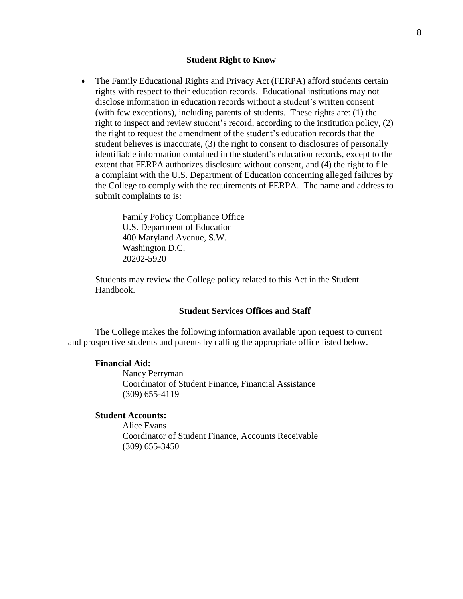#### **Student Right to Know**

 The Family Educational Rights and Privacy Act (FERPA) afford students certain rights with respect to their education records. Educational institutions may not disclose information in education records without a student's written consent (with few exceptions), including parents of students. These rights are: (1) the right to inspect and review student's record, according to the institution policy, (2) the right to request the amendment of the student's education records that the student believes is inaccurate, (3) the right to consent to disclosures of personally identifiable information contained in the student's education records, except to the extent that FERPA authorizes disclosure without consent, and (4) the right to file a complaint with the U.S. Department of Education concerning alleged failures by the College to comply with the requirements of FERPA. The name and address to submit complaints to is:

> Family Policy Compliance Office U.S. Department of Education 400 Maryland Avenue, S.W. Washington D.C. 20202-5920

Students may review the College policy related to this Act in the Student Handbook.

#### **Student Services Offices and Staff**

The College makes the following information available upon request to current and prospective students and parents by calling the appropriate office listed below.

#### **Financial Aid:**

Nancy Perryman Coordinator of Student Finance, Financial Assistance (309) 655-4119

#### **Student Accounts:**

Alice Evans Coordinator of Student Finance, Accounts Receivable (309) 655-3450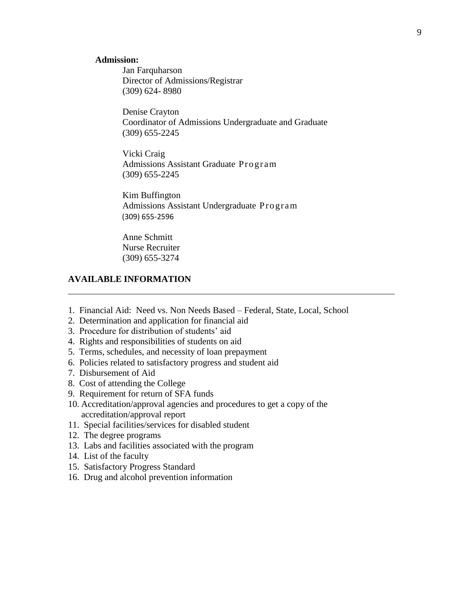#### **Admission:**

Jan Farquharson Director of Admissions/Registrar (309) 624- 8980

Denise Crayton Coordinator of Admissions Undergraduate and Graduate (309) 655-2245

Vicki Craig Admissions Assistant Graduate Progr am (309) 655-2245

Kim Buffington Admissions Assistant Undergraduate Program (309) 655-2596

Anne Schmitt Nurse Recruiter (309) 655-3274

## **AVAILABLE INFORMATION**

- 1. Financial Aid: Need vs. Non Needs Based Federal, State, Local, School
- 2. Determination and application for financial aid
- 3. Procedure for distribution of students' aid
- 4. Rights and responsibilities of students on aid
- 5. Terms, schedules, and necessity of loan prepayment
- 6. Policies related to satisfactory progress and student aid
- 7. Disbursement of Aid
- 8. Cost of attending the College
- 9. Requirement for return of SFA funds
- 10. Accreditation/approval agencies and procedures to get a copy of the accreditation/approval report
- 11. Special facilities/services for disabled student
- 12. The degree programs
- 13. Labs and facilities associated with the program
- 14. List of the faculty
- 15. Satisfactory Progress Standard
- 16. Drug and alcohol prevention information